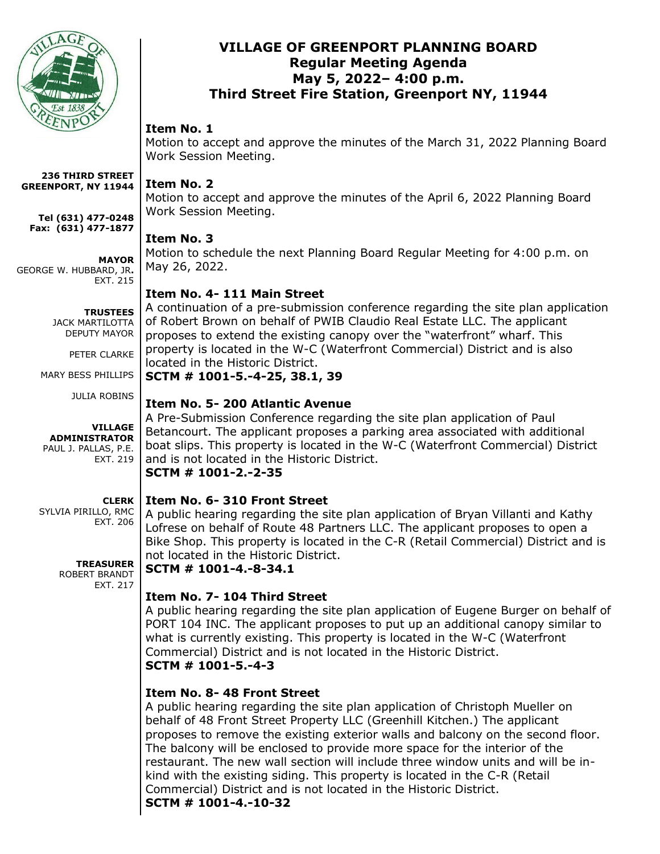

## **VILLAGE OF GREENPORT PLANNING BOARD Regular Meeting Agenda May 5, 2022– 4:00 p.m. Third Street Fire Station, Greenport NY, 11944**

### **Item No. 1**

Motion to accept and approve the minutes of the March 31, 2022 Planning Board Work Session Meeting.

### **Item No. 2**

Motion to accept and approve the minutes of the April 6, 2022 Planning Board Work Session Meeting.

# **Item No. 3**

Motion to schedule the next Planning Board Regular Meeting for 4:00 p.m. on May 26, 2022.

# **Item No. 4- 111 Main Street**

A continuation of a pre-submission conference regarding the site plan application of Robert Brown on behalf of PWIB Claudio Real Estate LLC. The applicant proposes to extend the existing canopy over the "waterfront" wharf. This property is located in the W-C (Waterfront Commercial) District and is also located in the Historic District.

**SCTM # 1001-5.-4-25, 38.1, 39**

# **Item No. 5- 200 Atlantic Avenue**

A Pre-Submission Conference regarding the site plan application of Paul Betancourt. The applicant proposes a parking area associated with additional boat slips. This property is located in the W-C (Waterfront Commercial) District and is not located in the Historic District. **SCTM # 1001-2.-2-35**

# **Item No. 6- 310 Front Street**

A public hearing regarding the site plan application of Bryan Villanti and Kathy Lofrese on behalf of Route 48 Partners LLC. The applicant proposes to open a Bike Shop. This property is located in the C-R (Retail Commercial) District and is not located in the Historic District.

**SCTM # 1001-4.-8-34.1**

# **Item No. 7- 104 Third Street**

A public hearing regarding the site plan application of Eugene Burger on behalf of PORT 104 INC. The applicant proposes to put up an additional canopy similar to what is currently existing. This property is located in the W-C (Waterfront Commercial) District and is not located in the Historic District. **SCTM # 1001-5.-4-3**

# **Item No. 8- 48 Front Street**

A public hearing regarding the site plan application of Christoph Mueller on behalf of 48 Front Street Property LLC (Greenhill Kitchen.) The applicant proposes to remove the existing exterior walls and balcony on the second floor. The balcony will be enclosed to provide more space for the interior of the restaurant. The new wall section will include three window units and will be inkind with the existing siding. This property is located in the C-R (Retail Commercial) District and is not located in the Historic District. **SCTM # 1001-4.-10-32**

#### **236 THIRD STREET GREENPORT, NY 11944**

**Tel (631) 477-0248 Fax: (631) 477-1877**

### **MAYOR**

GEORGE W. HUBBARD, JR**.** EXT. 215

> **TRUSTEES** JACK MARTILOTTA DEPUTY MAYOR

> > PETER CLARKE

MARY BESS PHILLIPS

JULIA ROBINS

### **VILLAGE ADMINISTRATOR** PAUL J. PALLAS, P.E.

EXT. 219

**CLERK** SYLVIA PIRILLO, RMC

EXT. 206

**TREASURER** ROBERT BRANDT EXT. 217